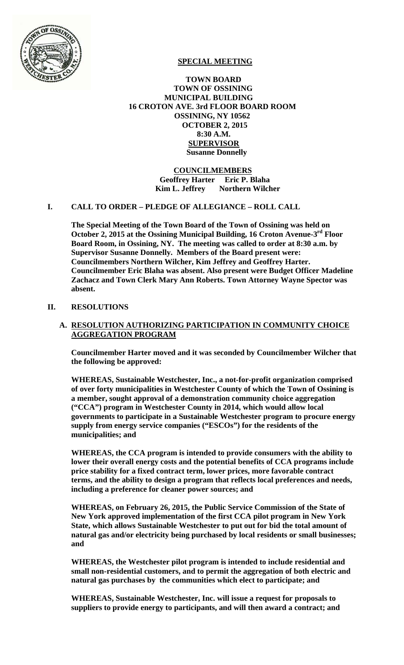

# **SPECIAL MEETING**

 **TOWN BOARD TOWN OF OSSINING MUNICIPAL BUILDING 16 CROTON AVE. 3rd FLOOR BOARD ROOM OSSINING, NY 10562 OCTOBER 2, 2015 8:30 A.M. SUPERVISOR Susanne Donnelly** 

## **COUNCILMEMBERS Geoffrey Harter Eric P. Blaha Kim L. Jeffrey** Northern Wilcher

## **I. CALL TO ORDER – PLEDGE OF ALLEGIANCE – ROLL CALL**

**The Special Meeting of the Town Board of the Town of Ossining was held on October 2, 2015 at the Ossining Municipal Building, 16 Croton Avenue-3rd Floor Board Room, in Ossining, NY. The meeting was called to order at 8:30 a.m. by Supervisor Susanne Donnelly. Members of the Board present were: Councilmembers Northern Wilcher, Kim Jeffrey and Geoffrey Harter. Councilmember Eric Blaha was absent. Also present were Budget Officer Madeline Zachacz and Town Clerk Mary Ann Roberts. Town Attorney Wayne Spector was absent.** 

## **II. RESOLUTIONS**

## **A. RESOLUTION AUTHORIZING PARTICIPATION IN COMMUNITY CHOICE AGGREGATION PROGRAM**

**Councilmember Harter moved and it was seconded by Councilmember Wilcher that the following be approved:** 

**WHEREAS, Sustainable Westchester, Inc., a not-for-profit organization comprised of over forty municipalities in Westchester County of which the Town of Ossining is a member, sought approval of a demonstration community choice aggregation ("CCA") program in Westchester County in 2014, which would allow local governments to participate in a Sustainable Westchester program to procure energy supply from energy service companies ("ESCOs") for the residents of the municipalities; and** 

**WHEREAS, the CCA program is intended to provide consumers with the ability to lower their overall energy costs and the potential benefits of CCA programs include price stability for a fixed contract term, lower prices, more favorable contract terms, and the ability to design a program that reflects local preferences and needs, including a preference for cleaner power sources; and** 

**WHEREAS, on February 26, 2015, the Public Service Commission of the State of New York approved implementation of the first CCA pilot program in New York State, which allows Sustainable Westchester to put out for bid the total amount of natural gas and/or electricity being purchased by local residents or small businesses; and** 

**WHEREAS, the Westchester pilot program is intended to include residential and small non-residential customers, and to permit the aggregation of both electric and natural gas purchases by the communities which elect to participate; and** 

**WHEREAS, Sustainable Westchester, Inc. will issue a request for proposals to suppliers to provide energy to participants, and will then award a contract; and**